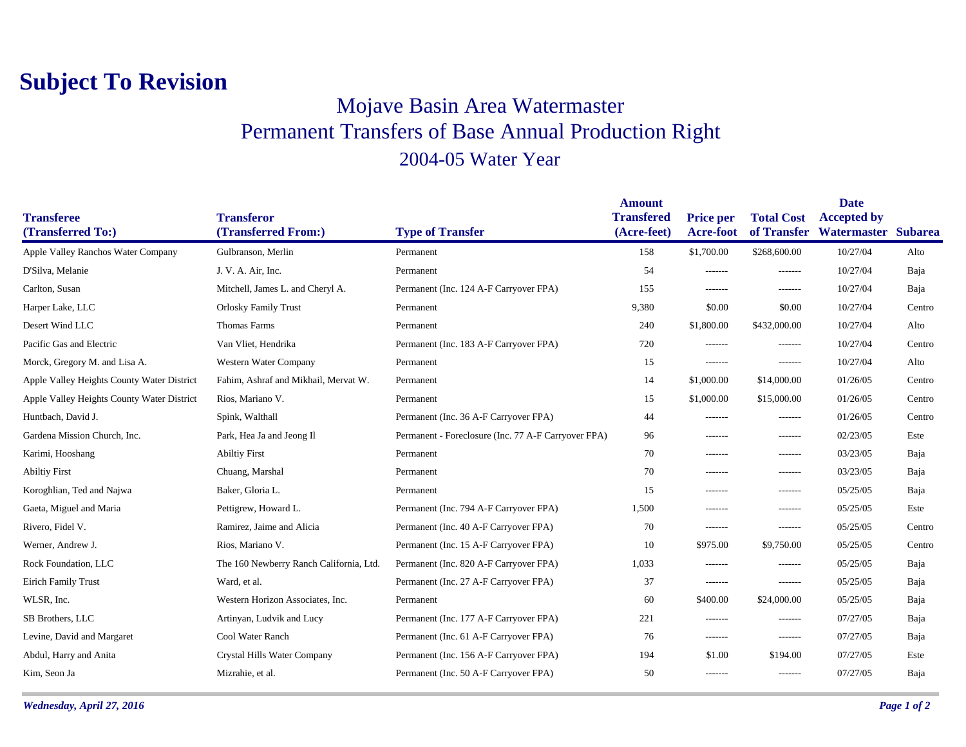## **Subject To Revision**

## Mojave Basin Area Watermaster Permanent Transfers of Base Annual Production Right 2004-05 Water Year

|                                            |                                          |                                                     | <b>Amount</b>                    |                                      |                                  | <b>Date</b>                               |        |
|--------------------------------------------|------------------------------------------|-----------------------------------------------------|----------------------------------|--------------------------------------|----------------------------------|-------------------------------------------|--------|
| <b>Transferee</b><br>(Transferred To:)     | <b>Transferor</b><br>(Transferred From:) | <b>Type of Transfer</b>                             | <b>Transfered</b><br>(Acre-feet) | <b>Price per</b><br><b>Acre-foot</b> | <b>Total Cost</b><br>of Transfer | <b>Accepted by</b><br>Watermaster Subarea |        |
| Apple Valley Ranchos Water Company         | Gulbranson, Merlin                       | Permanent                                           | 158                              | \$1,700.00                           | \$268,600.00                     | 10/27/04                                  | Alto   |
| D'Silva, Melanie                           | J. V. A. Air, Inc.                       | Permanent                                           | 54                               | -------                              | -------                          | 10/27/04                                  | Baja   |
| Carlton, Susan                             | Mitchell, James L. and Cheryl A.         | Permanent (Inc. 124 A-F Carryover FPA)              | 155                              | -------                              | $- - - - - - -$                  | 10/27/04                                  | Baja   |
| Harper Lake, LLC                           | <b>Orlosky Family Trust</b>              |                                                     | 9,380                            | \$0.00                               | \$0.00                           | 10/27/04                                  | Centro |
|                                            |                                          | Permanent                                           |                                  |                                      |                                  |                                           |        |
| Desert Wind LLC                            | <b>Thomas Farms</b>                      | Permanent                                           | 240                              | \$1,800.00                           | \$432,000.00                     | 10/27/04                                  | Alto   |
| Pacific Gas and Electric                   | Van Vliet, Hendrika                      | Permanent (Inc. 183 A-F Carryover FPA)              | 720                              | -------                              | $- - - - - - -$                  | 10/27/04                                  | Centro |
| Morck, Gregory M. and Lisa A.              | Western Water Company                    | Permanent                                           | 15                               | -------                              | $- - - - - - -$                  | 10/27/04                                  | Alto   |
| Apple Valley Heights County Water District | Fahim, Ashraf and Mikhail, Mervat W.     | Permanent                                           | 14                               | \$1,000.00                           | \$14,000.00                      | 01/26/05                                  | Centro |
| Apple Valley Heights County Water District | Rios, Mariano V.                         | Permanent                                           | 15                               | \$1,000.00                           | \$15,000.00                      | 01/26/05                                  | Centro |
| Huntbach, David J.                         | Spink, Walthall                          | Permanent (Inc. 36 A-F Carryover FPA)               | 44                               | -------                              | $- - - - - - -$                  | 01/26/05                                  | Centro |
| Gardena Mission Church, Inc.               | Park, Hea Ja and Jeong Il                | Permanent - Foreclosure (Inc. 77 A-F Carryover FPA) | 96                               | -------                              | -------                          | 02/23/05                                  | Este   |
| Karimi, Hooshang                           | <b>Abiltiy First</b>                     | Permanent                                           | 70                               | -------                              | $-----1$                         | 03/23/05                                  | Baja   |
| <b>Abiltiy First</b>                       | Chuang, Marshal                          | Permanent                                           | 70                               | -------                              | $- - - - - - -$                  | 03/23/05                                  | Baja   |
| Koroghlian, Ted and Najwa                  | Baker, Gloria L.                         | Permanent                                           | 15                               | -------                              | $- - - - - - -$                  | 05/25/05                                  | Baja   |
| Gaeta, Miguel and Maria                    | Pettigrew, Howard L.                     | Permanent (Inc. 794 A-F Carryover FPA)              | 1,500                            | -------                              | -------                          | 05/25/05                                  | Este   |
| Rivero, Fidel V.                           | Ramirez, Jaime and Alicia                | Permanent (Inc. 40 A-F Carryover FPA)               | 70                               | -------                              | $- - - - - - -$                  | 05/25/05                                  | Centro |
| Werner, Andrew J.                          | Rios, Mariano V.                         | Permanent (Inc. 15 A-F Carryover FPA)               | 10                               | \$975.00                             | \$9,750.00                       | 05/25/05                                  | Centro |
| Rock Foundation, LLC                       | The 160 Newberry Ranch California, Ltd.  | Permanent (Inc. 820 A-F Carryover FPA)              | 1,033                            | -------                              | -------                          | 05/25/05                                  | Baja   |
| Eirich Family Trust                        | Ward, et al.                             | Permanent (Inc. 27 A-F Carryover FPA)               | 37                               | -------                              | -------                          | 05/25/05                                  | Baja   |
| WLSR, Inc.                                 | Western Horizon Associates, Inc.         | Permanent                                           | 60                               | \$400.00                             | \$24,000.00                      | 05/25/05                                  | Baja   |
| SB Brothers, LLC                           | Artinyan, Ludvik and Lucy                | Permanent (Inc. 177 A-F Carryover FPA)              | 221                              | -------                              | $- - - - - - -$                  | 07/27/05                                  | Baja   |
| Levine, David and Margaret                 | Cool Water Ranch                         | Permanent (Inc. 61 A-F Carryover FPA)               | 76                               | -------                              | -------                          | 07/27/05                                  | Baja   |
| Abdul, Harry and Anita                     | Crystal Hills Water Company              | Permanent (Inc. 156 A-F Carryover FPA)              | 194                              | \$1.00                               | \$194.00                         | 07/27/05                                  | Este   |
| Kim, Seon Ja                               | Mizrahie, et al.                         | Permanent (Inc. 50 A-F Carryover FPA)               | 50                               | -------                              | $- - - - - - -$                  | 07/27/05                                  | Baja   |